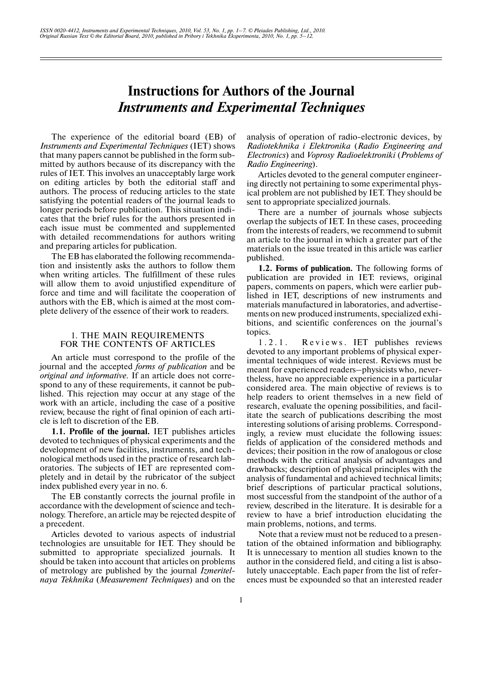# **Instructions for Authors of the Journal**  *Instruments and Experimental Techniques*

The experience of the editorial board (EB) of *Instruments and Experimental Techniques* (IET) shows that many papers cannot be published in the form sub mitted by authors because of its discrepancy with the rules of IET. This involves an unacceptably large work on editing articles by both the editorial staff and authors. The process of reducing articles to the state satisfying the potential readers of the journal leads to longer periods before publication. This situation indi cates that the brief rules for the authors presented in each issue must be commented and supplemented with detailed recommendations for authors writing and preparing articles for publication.

The EB has elaborated the following recommenda tion and insistently asks the authors to follow them when writing articles. The fulfillment of these rules will allow them to avoid unjustified expenditure of force and time and will facilitate the cooperation of authors with the EB, which is aimed at the most com plete delivery of the essence of their work to readers.

### 1. THE MAIN REQUIREMENTS FOR THE CONTENTS OF ARTICLES

An article must correspond to the profile of the journal and the accepted *forms of publication* and be *original and informative.* If an article does not corre spond to any of these requirements, it cannot be pub lished. This rejection may occur at any stage of the work with an article, including the case of a positive review, because the right of final opinion of each arti cle is left to discretion of the EB.

**1.1. Profile of the journal.** IET publishes articles devoted to techniques of physical experiments and the development of new facilities, instruments, and tech nological methods used in the practice of research lab oratories. The subjects of IET are represented com pletely and in detail by the rubricator of the subject index published every year in no. 6.

The EB constantly corrects the journal profile in accordance with the development of science and tech nology. Therefore, an article may be rejected despite of a precedent.

Articles devoted to various aspects of industrial technologies are unsuitable for IET. They should be submitted to appropriate specialized journals. It should be taken into account that articles on problems of metrology are published by the journal *Izmeritel naya Tekhnika* (*Measurement Techniques*) and on the analysis of operation of radio-electronic devices, by *Radiotekhnika i Elektronika* (*Radio Engineering and Electronics*) and *Voprosy Radioelektroniki* (*Problems of Radio Engineering*).

Articles devoted to the general computer engineer ing directly not pertaining to some experimental phys ical problem are not published by IET. They should be sent to appropriate specialized journals.

There are a number of journals whose subjects overlap the subjects of IET. In these cases, proceeding from the interests of readers, we recommend to submit an article to the journal in which a greater part of the materials on the issue treated in this article was earlier published.

**1.2. Forms of publication.** The following forms of publication are provided in IET: reviews, original papers, comments on papers, which were earlier pub lished in IET, descriptions of new instruments and materials manufactured in laboratories, and advertise ments on new produced instruments, specialized exhi bitions, and scientific conferences on the journal's topics.

1.2.1. Reviews. IET publishes reviews devoted to any important problems of physical exper imental techniques of wide interest. Reviews must be meant for experienced readers–physicists who, never theless, have no appreciable experience in a particular considered area. The main objective of reviews is to help readers to orient themselves in a new field of research, evaluate the opening possibilities, and facil itate the search of publications describing the most interesting solutions of arising problems. Correspond ingly, a review must elucidate the following issues: fields of application of the considered methods and devices; their position in the row of analogous or close methods with the critical analysis of advantages and drawbacks; description of physical principles with the analysis of fundamental and achieved technical limits; brief descriptions of particular practical solutions, most successful from the standpoint of the author of a review, described in the literature. It is desirable for a review to have a brief introduction elucidating the main problems, notions, and terms.

Note that a review must not be reduced to a presen tation of the obtained information and bibliography. It is unnecessary to mention all studies known to the author in the considered field, and citing a list is abso lutely unacceptable. Each paper from the list of refer ences must be expounded so that an interested reader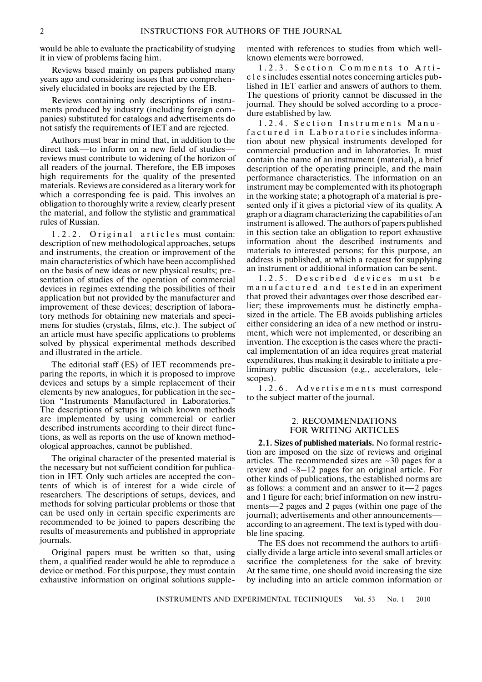would be able to evaluate the practicability of studying it in view of problems facing him.

Reviews based mainly on papers published many years ago and considering issues that are comprehen sively elucidated in books are rejected by the EB.

Reviews containing only descriptions of instru ments produced by industry (including foreign com panies) substituted for catalogs and advertisements do not satisfy the requirements of IET and are rejected.

Authors must bear in mind that, in addition to the direct task—to inform on a new field of studies reviews must contribute to widening of the horizon of all readers of the journal. Therefore, the EB imposes high requirements for the quality of the presented materials. Reviews are considered as a literary work for which a corresponding fee is paid. This involves an obligation to thoroughly write a review, clearly present the material, and follow the stylistic and grammatical rules of Russian.

1.2.2. Original articles must contain: description of new methodological approaches, setups and instruments, the creation or improvement of the main characteristics of which have been accomplished on the basis of new ideas or new physical results; pre sentation of studies of the operation of commercial devices in regimes extending the possibilities of their application but not provided by the manufacturer and improvement of these devices; description of labora tory methods for obtaining new materials and speci mens for studies (crystals, films, etc.). The subject of an article must have specific applications to problems solved by physical experimental methods described and illustrated in the article.

The editorial staff (ES) of IET recommends pre paring the reports, in which it is proposed to improve devices and setups by a simple replacement of their elements by new analogues, for publication in the sec tion "Instruments Manufactured in Laboratories." The descriptions of setups in which known methods are implemented by using commercial or earlier described instruments according to their direct func tions, as well as reports on the use of known method ological approaches, cannot be published.

The original character of the presented material is the necessary but not sufficient condition for publica tion in IET. Only such articles are accepted the con tents of which is of interest for a wide circle of researchers. The descriptions of setups, devices, and methods for solving particular problems or those that can be used only in certain specific experiments are recommended to be joined to papers describing the results of measurements and published in appropriate journals.

Original papers must be written so that, using them, a qualified reader would be able to reproduce a device or method. For this purpose, they must contain exhaustive information on original solutions supple-

mented with references to studies from which well known elements were borrowed.

1.2.3. Section Comments to Arti c l e s includes essential notes concerning articles pub lished in IET earlier and answers of authors to them. The questions of priority cannot be discussed in the journal. They should be solved according to a proce dure established by law.

1.2.4. Section Instruments Manu factured in Laboratories includes information about new physical instruments developed for commercial production and in laboratories. It must contain the name of an instrument (material), a brief description of the operating principle, and the main performance characteristics. The information on an instrument may be complemented with its photograph in the working state; a photograph of a material is pre sented only if it gives a pictorial view of its quality. A graph or a diagram characterizing the capabilities of an instrument is allowed. The authors of papers published in this section take an obligation to report exhaustive information about the described instruments and materials to interested persons; for this purpose, an address is published, at which a request for supplying an instrument or additional information can be sent.

1.2.5. Described devices must be m a n u f a c t u r e d a n d t e s t e d in an experiment that proved their advantages over those described ear lier; these improvements must be distinctly empha sized in the article. The EB avoids publishing articles either considering an idea of a new method or instru ment, which were not implemented, or describing an invention. The exception is the cases where the practi cal implementation of an idea requires great material expenditures, thus making it desirable to initiate a pre liminary public discussion (e.g., accelerators, tele scopes).

1 . 2 . 6 . A d v e r t i s e m e n t s must correspond to the subject matter of the journal.

#### 2. RECOMMENDATIONS FOR WRITING ARTICLES

**2.1. Sizes of published materials.** No formal restric tion are imposed on the size of reviews and original articles. The recommended sizes are  $\sim$ 30 pages for a review and  $-8-12$  pages for an original article. For other kinds of publications, the established norms are as follows: a comment and an answer to it—2 pages and 1 figure for each; brief information on new instru ments—2 pages and 2 pages (within one page of the journal); advertisements and other announcements according to an agreement. The text is typed with dou ble line spacing.

The ES does not recommend the authors to artifi cially divide a large article into several small articles or sacrifice the completeness for the sake of brevity. At the same time, one should avoid increasing the size by including into an article common information or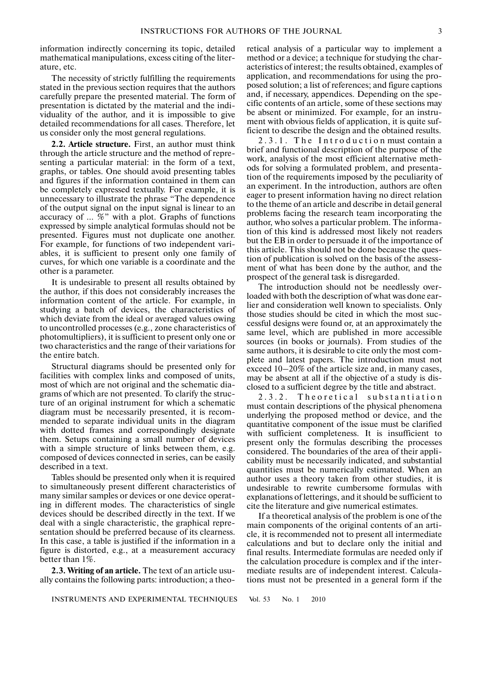information indirectly concerning its topic, detailed mathematical manipulations, excess citing of the liter ature, etc.

The necessity of strictly fulfilling the requirements stated in the previous section requires that the authors carefully prepare the presented material. The form of presentation is dictated by the material and the indi viduality of the author, and it is impossible to give detailed recommendations for all cases. Therefore, let us consider only the most general regulations.

**2.2. Article structure.** First, an author must think through the article structure and the method of repre senting a particular material: in the form of a text, graphs, or tables. One should avoid presenting tables and figures if the information contained in them can be completely expressed textually. For example, it is unnecessary to illustrate the phrase "The dependence of the output signal on the input signal is linear to an accuracy of … %" with a plot. Graphs of functions expressed by simple analytical formulas should not be presented. Figures must not duplicate one another. For example, for functions of two independent vari ables, it is sufficient to present only one family of curves, for which one variable is a coordinate and the other is a parameter.

It is undesirable to present all results obtained by the author, if this does not considerably increases the information content of the article. For example, in studying a batch of devices, the characteristics of which deviate from the ideal or averaged values owing to uncontrolled processes (e.g., zone characteristics of photomultipliers), it is sufficient to present only one or two characteristics and the range of their variations for the entire batch.

Structural diagrams should be presented only for facilities with complex links and composed of units, most of which are not original and the schematic dia grams of which are not presented. To clarify the struc ture of an original instrument for which a schematic diagram must be necessarily presented, it is recom mended to separate individual units in the diagram with dotted frames and correspondingly designate them. Setups containing a small number of devices with a simple structure of links between them, e.g. composed of devices connected in series, can be easily described in a text.

Tables should be presented only when it is required to simultaneously present different characteristics of many similar samples or devices or one device operat ing in different modes. The characteristics of single devices should be described directly in the text. If we deal with a single characteristic, the graphical repre sentation should be preferred because of its clearness. In this case, a table is justified if the information in a figure is distorted, e.g., at a measurement accuracy better than 1%.

**2.3. Writing of an article.** The text of an article usu ally contains the following parts: introduction; a theo-

retical analysis of a particular way to implement a method or a device; a technique for studying the char acteristics of interest; the results obtained, examples of application, and recommendations for using the pro posed solution; a list of references; and figure captions and, if necessary, appendices. Depending on the spe cific contents of an article, some of these sections may be absent or minimized. For example, for an instru ment with obvious fields of application, it is quite suf ficient to describe the design and the obtained results.

2.3.1. The Introduction must contain a brief and functional description of the purpose of the work, analysis of the most efficient alternative meth ods for solving a formulated problem, and presenta tion of the requirements imposed by the peculiarity of an experiment. In the introduction, authors are often eager to present information having no direct relation to the theme of an article and describe in detail general problems facing the research team incorporating the author, who solves a particular problem. The informa tion of this kind is addressed most likely not readers but the EB in order to persuade it of the importance of this article. This should not be done because the ques tion of publication is solved on the basis of the assess ment of what has been done by the author, and the prospect of the general task is disregarded.

The introduction should not be needlessly over loaded with both the description of what was done ear lier and consideration well known to specialists. Only those studies should be cited in which the most suc cessful designs were found or, at an approximately the same level, which are published in more accessible sources (in books or journals). From studies of the same authors, it is desirable to cite only the most com plete and latest papers. The introduction must not exceed 10–20% of the article size and, in many cases, may be absent at all if the objective of a study is dis closed to a sufficient degree by the title and abstract.

2.3.2. Theoretical substantiation must contain descriptions of the physical phenomena underlying the proposed method or device, and the quantitative component of the issue must be clarified with sufficient completeness. It is insufficient to present only the formulas describing the processes considered. The boundaries of the area of their appli cability must be necessarily indicated, and substantial quantities must be numerically estimated. When an author uses a theory taken from other studies, it is undesirable to rewrite cumbersome formulas with explanations of letterings, and it should be sufficient to cite the literature and give numerical estimates.

If a theoretical analysis of the problem is one of the main components of the original contents of an arti cle, it is recommended not to present all intermediate calculations and but to declare only the initial and final results. Intermediate formulas are needed only if the calculation procedure is complex and if the inter mediate results are of independent interest. Calcula tions must not be presented in a general form if the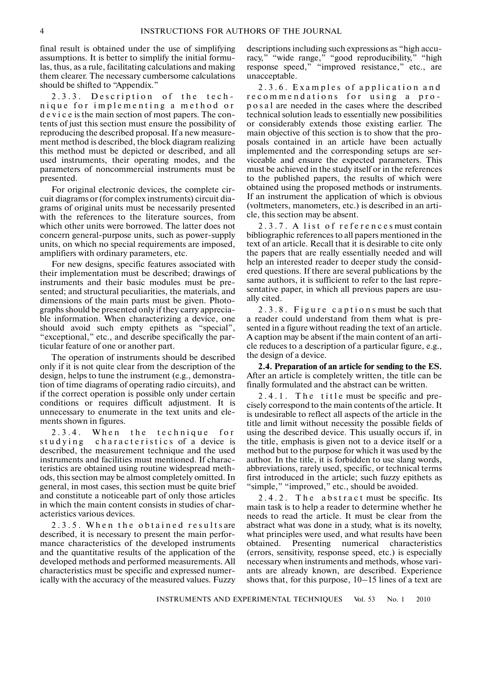final result is obtained under the use of simplifying assumptions. It is better to simplify the initial formu las, thus, as a rule, facilitating calculations and making them clearer. The necessary cumbersome calculations should be shifted to "Appendix."

2.3.3. Description of the tech nique for implementing a method or d e v i c e is the main section of most papers. The con tents of just this section must ensure the possibility of reproducing the described proposal. If a new measure ment method is described, the block diagram realizing this method must be depicted or described, and all used instruments, their operating modes, and the parameters of noncommercial instruments must be presented.

For original electronic devices, the complete cir cuit diagrams or (for complex instruments) circuit dia grams of original units must be necessarily presented with the references to the literature sources, from which other units were borrowed. The latter does not concern general-purpose units, such as power-supply units, on which no special requirements are imposed, amplifiers with ordinary parameters, etc.

For new designs, specific features associated with their implementation must be described; drawings of instruments and their basic modules must be pre sented; and structural peculiarities, the materials, and dimensions of the main parts must be given. Photo graphs should be presented only if they carry apprecia ble information. When characterizing a device, one should avoid such empty epithets as "special", "exceptional," etc., and describe specifically the par ticular feature of one or another part.

The operation of instruments should be described only if it is not quite clear from the description of the design, helps to tune the instrument (e.g., demonstra tion of time diagrams of operating radio circuits), and if the correct operation is possible only under certain conditions or requires difficult adjustment. It is unnecessary to enumerate in the text units and ele ments shown in figures.

2.3.4. When the technique for studying characteristics of a device is described, the measurement technique and the used instruments and facilities must mentioned. If charac teristics are obtained using routine widespread meth ods, this section may be almost completely omitted. In general, in most cases, this section must be quite brief and constitute a noticeable part of only those articles in which the main content consists in studies of characteristics various devices.

2.3.5. When the obtained resultsare described, it is necessary to present the main perfor mance characteristics of the developed instruments and the quantitative results of the application of the developed methods and performed measurements. All characteristics must be specific and expressed numer ically with the accuracy of the measured values. Fuzzy

descriptions including such expressions as "high accu racy," "wide range," "good reproducibility," "high response speed," "improved resistance," etc., are unacceptable.

2.3.6. Examples of application and recommendations for using a pro p o s a l are needed in the cases where the described technical solution leads to essentially new possibilities or considerably extends those existing earlier. The main objective of this section is to show that the pro posals contained in an article have been actually implemented and the corresponding setups are ser viceable and ensure the expected parameters. This must be achieved in the study itself or in the references to the published papers, the results of which were obtained using the proposed methods or instruments. If an instrument the application of which is obvious (voltmeters, manometers, etc.) is described in an arti cle, this section may be absent.

2.3.7. A list of references must contain bibliographic references to all papers mentioned in the text of an article. Recall that it is desirable to cite only the papers that are really essentially needed and will help an interested reader to deeper study the consid ered questions. If there are several publications by the same authors, it is sufficient to refer to the last repre sentative paper, in which all previous papers are usu ally cited.

2.3.8. Figure captions must be such that a reader could understand from them what is pre sented in a figure without reading the text of an article. A caption may be absent if the main content of an arti cle reduces to a description of a particular figure, e.g., the design of a device.

**2.4. Preparation of an article for sending to the ES.** After an article is completely written, the title can be finally formulated and the abstract can be written.

2.4.1. The title must be specific and precisely correspond to the main contents of the article. It is undesirable to reflect all aspects of the article in the title and limit without necessity the possible fields of using the described device. This usually occurs if, in the title, emphasis is given not to a device itself or a method but to the purpose for which it was used by the author. In the title, it is forbidden to use slang words, abbreviations, rarely used, specific, or technical terms first introduced in the article; such fuzzy epithets as "simple," "improved," etc., should be avoided.

2.4.2. The abstract must be specific. Its main task is to help a reader to determine whether he needs to read the article. It must be clear from the abstract what was done in a study, what is its novelty, what principles were used, and what results have been obtained. Presenting numerical characteristics (errors, sensitivity, response speed, etc.) is especially necessary when instruments and methods, whose vari ants are already known, are described. Experience shows that, for this purpose, 10–15 lines of a text are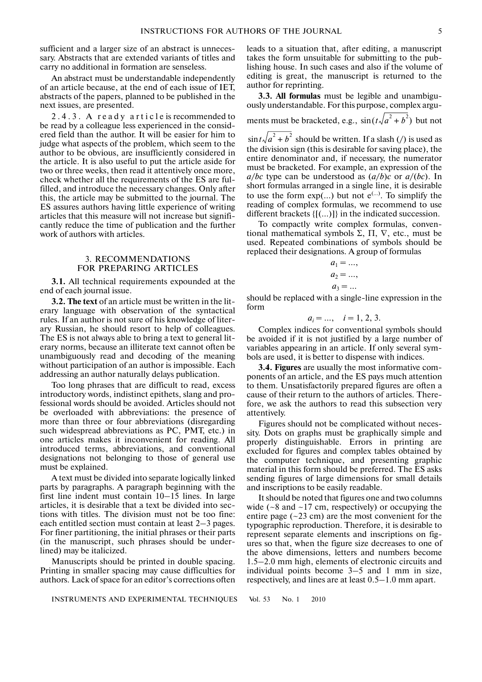sufficient and a larger size of an abstract is unneces sary. Abstracts that are extended variants of titles and carry no additional in formation are senseless.

An abstract must be understandable independently of an article because, at the end of each issue of IET, abstracts of the papers, planned to be published in the next issues, are presented.

2.4.3. A ready article is recommended to be read by a colleague less experienced in the consid ered field than the author. It will be easier for him to judge what aspects of the problem, which seem to the author to be obvious, are insufficiently considered in the article. It is also useful to put the article aside for two or three weeks, then read it attentively once more, check whether all the requirements of the ES are ful filled, and introduce the necessary changes. Only after this, the article may be submitted to the journal. The ES assures authors having little experience of writing articles that this measure will not increase but signifi cantly reduce the time of publication and the further work of authors with articles.

#### 3. RECOMMENDATIONS FOR PREPARING ARTICLES

**3.1.** All technical requirements expounded at the end of each journal issue.

**3.2. The text** of an article must be written in the lit erary language with observation of the syntactical rules. If an author is not sure of his knowledge of liter ary Russian, he should resort to help of colleagues. The ES is not always able to bring a text to general lit erary norms, because an illiterate text cannot often be unambiguously read and decoding of the meaning without participation of an author is impossible. Each addressing an author naturally delays publication.

Too long phrases that are difficult to read, excess introductory words, indistinct epithets, slang and pro fessional words should be avoided. Articles should not be overloaded with abbreviations: the presence of more than three or four abbreviations (disregarding such widespread abbreviations as PC, PMT, etc.) in one articles makes it inconvenient for reading. All introduced terms, abbreviations, and conventional designations not belonging to those of general use must be explained.

A text must be divided into separate logically linked parts by paragraphs. A paragraph beginning with the first line indent must contain 10–15 lines. In large articles, it is desirable that a text be divided into sec tions with titles. The division must not be too fine: each entitled section must contain at least 2–3 pages. For finer partitioning, the initial phrases or their parts (in the manuscript, such phrases should be under lined) may be italicized.

Manuscripts should be printed in double spacing. Printing in smaller spacing may cause difficulties for authors. Lack of space for an editor's corrections often leads to a situation that, after editing, a manuscript takes the form unsuitable for submitting to the pub lishing house. In such cases and also if the volume of editing is great, the manuscript is returned to the author for reprinting.

**3.3. All formulas** must be legible and unambigu ously understandable. For this purpose, complex argu ments must be bracketed, e.g.,  $\sin(t\sqrt{a^2 + b^2})$  but not

 $\sin t \sqrt{a^2 + b^2}$  should be written. If a slash (/) is used as the division sign (this is desirable for saving place), the entire denominator and, if necessary, the numerator must be bracketed. For example, an expression of the *а*/*bc* type can be understood as (*а*/*b*)*с* or *а*/(*bс*). In short formulas arranged in a single line, it is desirable to use the form  $exp(...)$  but not  $e^{(...)}$ . To simplify the reading of complex formulas, we recommend to use different brackets {[(…)]} in the indicated succession.

To compactly write complex formulas, conven tional mathematical symbols Σ, Π,  $\nabla$ , etc., must be used. Repeated combinations of symbols should be replaced their designations. A group of formulas

$$
a_1 = \dots,
$$
  
\n
$$
a_2 = \dots,
$$
  
\n
$$
a_3 = \dots
$$

should be replaced with a single-line expression in the form

$$
a_i = ..., \quad i = 1, 2, 3.
$$

Complex indices for conventional symbols should be avoided if it is not justified by a large number of variables appearing in an article. If only several sym bols are used, it is better to dispense with indices.

**3.4. Figures** are usually the most informative com ponents of an article, and the ES pays much attention to them. Unsatisfactorily prepared figures are often a cause of their return to the authors of articles. There fore, we ask the authors to read this subsection very attentively.

Figures should not be complicated without neces sity. Dots on graphs must be graphically simple and properly distinguishable. Errors in printing are excluded for figures and complex tables obtained by the computer technique, and presenting graphic material in this form should be preferred. The ES asks sending figures of large dimensions for small details and inscriptions to be easily readable.

It should be noted that figures one and two columns wide ( $\sim$ 8 and  $\sim$ 17 cm, respectively) or occupying the entire page  $(-23 \text{ cm})$  are the most convenient for the typographic reproduction. Therefore, it is desirable to represent separate elements and inscriptions on fig ures so that, when the figure size decreases to one of the above dimensions, letters and numbers become 1.5–2.0 mm high, elements of electronic circuits and individual points become 3–5 and 1 mm in size, respectively, and lines are at least 0.5–1.0 mm apart.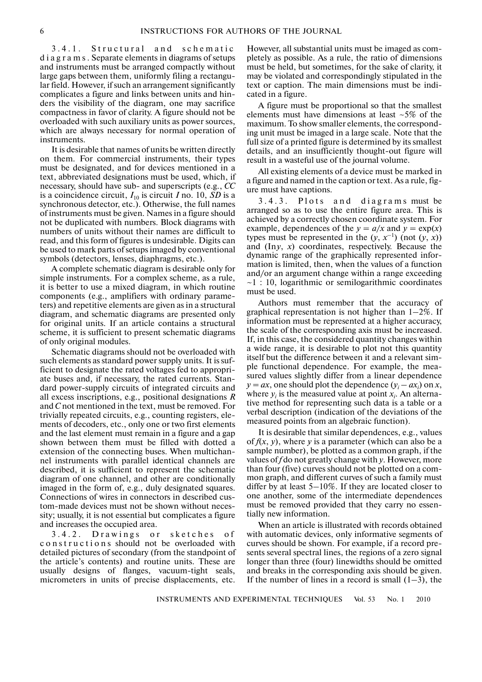3.4.1. Structural and schematic d i a g r a m s . Separate elements in diagrams of setups and instruments must be arranged compactly without large gaps between them, uniformly filing a rectangu lar field. However, if such an arrangement significantly complicates a figure and links between units and hin ders the visibility of the diagram, one may sacrifice compactness in favor of clarity. A figure should not be overloaded with such auxiliary units as power sources, which are always necessary for normal operation of instruments.

It is desirable that names of units be written directly on them. For commercial instruments, their types must be designated, and for devices mentioned in a text, abbreviated designations must be used, which, if necessary, should have sub- and superscripts (e.g., *CC* is a coincidence circuit,  $I_{10}$  is circuit *I* no. 10, *SD* is a synchronous detector, etc.). Otherwise, the full names of instruments must be given. Names in a figure should not be duplicated with numbers. Block diagrams with numbers of units without their names are difficult to read, and this form of figures is undesirable. Digits can be used to mark parts of setups imaged by conventional symbols (detectors, lenses, diaphragms, etc.).

A complete schematic diagram is desirable only for simple instruments. For a complex scheme, as a rule, it is better to use a mixed diagram, in which routine components (e.g., amplifiers with ordinary parame ters) and repetitive elements are given as in a structural diagram, and schematic diagrams are presented only for original units. If an article contains a structural scheme, it is sufficient to present schematic diagrams of only original modules.

Schematic diagrams should not be overloaded with such elements as standard power supply units. It is suf ficient to designate the rated voltages fed to appropri ate buses and, if necessary, the rated currents. Stan dard power-supply circuits of integrated circuits and all excess inscriptions, e.g., positional designations *R* and *C* not mentioned in the text, must be removed. For trivially repeated circuits, e.g., counting registers, ele ments of decoders, etc., only one or two first elements and the last element must remain in a figure and a gap shown between them must be filled with dotted a extension of the connecting buses. When multichan nel instruments with parallel identical channels are described, it is sufficient to represent the schematic diagram of one channel, and other are conditionally imaged in the form of, e.g., duly designated squares. Connections of wires in connectors in described cus tom-made devices must not be shown without neces sity; usually, it is not essential but complicates a figure and increases the occupied area.

3.4.2. Drawings or sketches of c o n structions should not be overloaded with detailed pictures of secondary (from the standpoint of the article's contents) and routine units. These are usually designs of flanges, vacuum-tight seals, micrometers in units of precise displacements, etc.

However, all substantial units must be imaged as com pletely as possible. As a rule, the ratio of dimensions must be held, but sometimes, for the sake of clarity, it may be violated and correspondingly stipulated in the text or caption. The main dimensions must be indi cated in a figure.

A figure must be proportional so that the smallest elements must have dimensions at least  $\sim$ 5% of the maximum. To show smaller elements, the correspond ing unit must be imaged in a large scale. Note that the full size of a printed figure is determined by its smallest details, and an insufficiently thought-out figure will result in a wasteful use of the journal volume.

All existing elements of a device must be marked in a figure and named in the caption or text. As a rule, fig ure must have captions.

3.4.3. Plots and diagrams must be arranged so as to use the entire figure area. This is achieved by a correctly chosen coordinate system. For example, dependences of the  $y = a/x$  and  $y = \exp(x)$ types must be represented in the  $(y, x^{-1})$  (not  $(y, x)$ ) and (In*у*, *х*) coordinates, respectively. Because the dynamic range of the graphically represented infor mation is limited, then, when the values of a function and/or an argument change within a range exceeding  $\sim$ 1 : 10, logarithmic or semilogarithmic coordinates must be used.

Authors must remember that the accuracy of graphical representation is not higher than 1–2%. If information must be represented at a higher accuracy, the scale of the corresponding axis must be increased. If, in this case, the considered quantity changes within a wide range, it is desirable to plot not this quantity itself but the difference between it and a relevant sim ple functional dependence. For example, the mea sured values slightly differ from a linear dependence  $y = ax$ , one should plot the dependence  $(y_i - ax_i)$  on *x*, where  $y_i$  is the measured value at point  $x_i$ . An alternative method for representing such data is a table or a verbal description (indication of the deviations of the measured points from an algebraic function).

It is desirable that similar dependences, e.g., values of  $f(x, y)$ , where y is a parameter (which can also be a sample number), be plotted as a common graph, if the values of *f* do not greatly change with *y*. However, more than four (five) curves should not be plotted on a com mon graph, and different curves of such a family must differ by at least 5–10%. If they are located closer to one another, some of the intermediate dependences must be removed provided that they carry no essen tially new information.

When an article is illustrated with records obtained with automatic devices, only informative segments of curves should be shown. For example, if a record pre sents several spectral lines, the regions of a zero signal longer than three (four) linewidths should be omitted and breaks in the corresponding axis should be given. If the number of lines in a record is small  $(1-3)$ , the